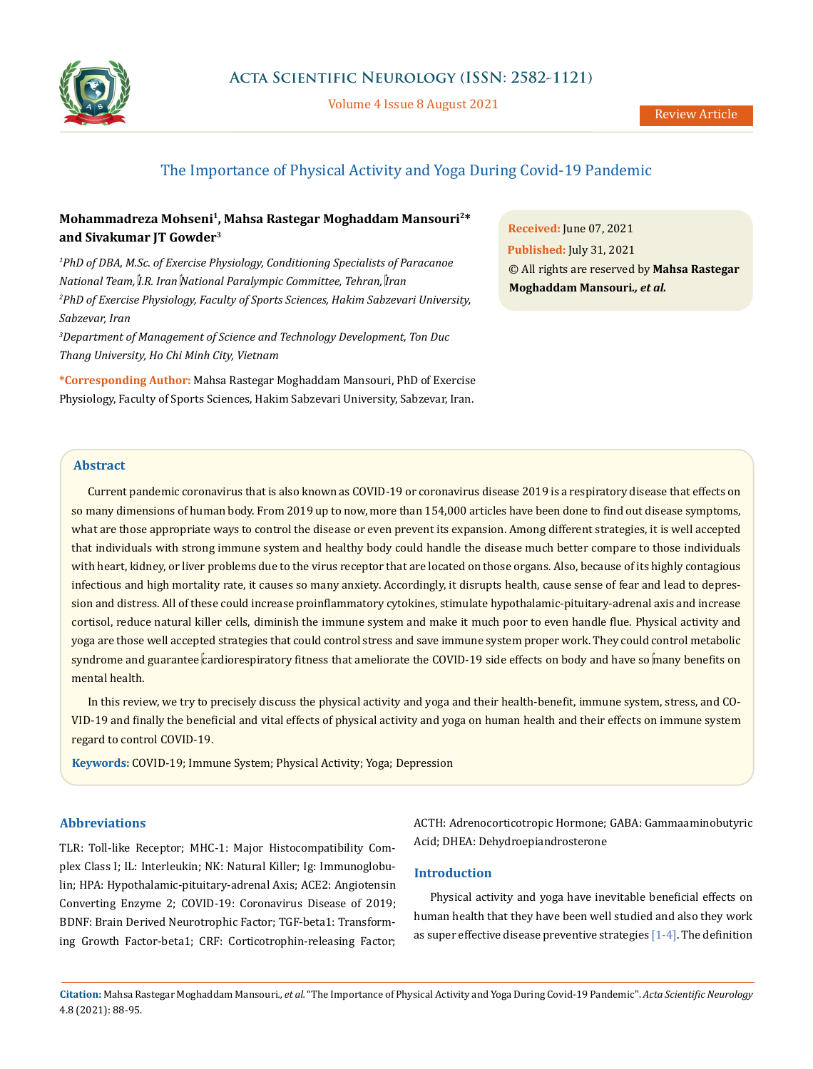

Volume 4 Issue 8 August 2021

# The Importance of Physical Activity and Yoga During Covid-19 Pandemic

## **Mohammadreza Mohseni1, Mahsa Rastegar Moghaddam Mansouri2\* and Sivakumar JT Gowder3**

*1 PhD of DBA, M.Sc. of Exercise Physiology, Conditioning Specialists of Paracanoe National Team, I.R. Iran National Paralympic Committee, Tehran, Iran 2 PhD of Exercise Physiology, Faculty of Sports Sciences, Hakim Sabzevari University, Sabzevar, Iran*

*3 Department of Management of Science and Technology Development, Ton Duc Thang University, Ho Chi Minh City, Vietnam*

**\*Corresponding Author:** Mahsa Rastegar Moghaddam Mansouri, PhD of Exercise Physiology, Faculty of Sports Sciences, Hakim Sabzevari University, Sabzevar, Iran.

**Received:** June 07, 2021 **Published:** July 31, 2021 © All rights are reserved by **Mahsa Rastegar Moghaddam Mansouri***., et al.*

## **Abstract**

Current pandemic coronavirus that is also known as COVID-19 or coronavirus disease 2019 is a respiratory disease that effects on so many dimensions of human body. From 2019 up to now, more than 154,000 articles have been done to find out disease symptoms, what are those appropriate ways to control the disease or even prevent its expansion. Among different strategies, it is well accepted that individuals with strong immune system and healthy body could handle the disease much better compare to those individuals with heart, kidney, or liver problems due to the virus receptor that are located on those organs. Also, because of its highly contagious infectious and high mortality rate, it causes so many anxiety. Accordingly, it disrupts health, cause sense of fear and lead to depression and distress. All of these could increase proinflammatory cytokines, stimulate hypothalamic-pituitary-adrenal axis and increase cortisol, reduce natural killer cells, diminish the immune system and make it much poor to even handle flue. Physical activity and yoga are those well accepted strategies that could control stress and save immune system proper work. They could control metabolic syndrome and guarantee cardiorespiratory fitness that ameliorate the COVID-19 side effects on body and have so many benefits on mental health.

In this review, we try to precisely discuss the physical activity and yoga and their health-benefit, immune system, stress, and CO-VID-19 and finally the beneficial and vital effects of physical activity and yoga on human health and their effects on immune system regard to control COVID-19.

**Keywords:** COVID-19; Immune System; Physical Activity; Yoga; Depression

### **Abbreviations**

TLR: Toll-like Receptor; MHC-1: Major Histocompatibility Complex Class I; IL: Interleukin; NK: Natural Killer; Ig: Immunoglobulin; HPA: Hypothalamic-pituitary-adrenal Axis; ACE2: Angiotensin Converting Enzyme 2; COVID-19: Coronavirus Disease of 2019; BDNF: Brain Derived Neurotrophic Factor; TGF-beta1: Transforming Growth Factor-beta1; CRF: Corticotrophin-releasing Factor;

ACTH: Adrenocorticotropic Hormone; GABA: Gammaaminobutyric Acid; DHEA: Dehydroepiandrosterone

## **Introduction**

Physical activity and yoga have inevitable beneficial effects on human health that they have been well studied and also they work as super effective disease preventive strategies  $[1-4]$ . The definition

**Citation:** Mahsa Rastegar Moghaddam Mansouri*., et al.* "The Importance of Physical Activity and Yoga During Covid-19 Pandemic". *Acta Scientific Neurology*  4.8 (2021): 88-95.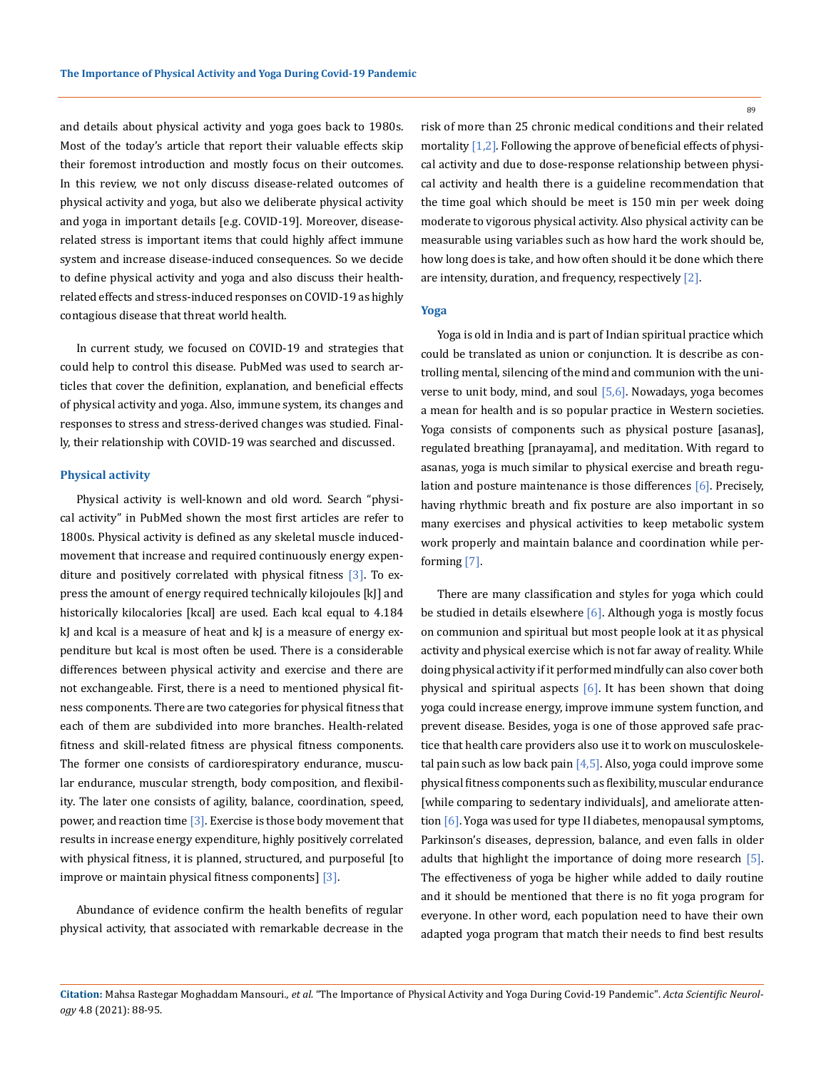and details about physical activity and yoga goes back to 1980s. Most of the today's article that report their valuable effects skip their foremost introduction and mostly focus on their outcomes. In this review, we not only discuss disease-related outcomes of physical activity and yoga, but also we deliberate physical activity and yoga in important details [e.g. COVID-19]. Moreover, diseaserelated stress is important items that could highly affect immune system and increase disease-induced consequences. So we decide to define physical activity and yoga and also discuss their healthrelated effects and stress-induced responses on COVID-19 as highly contagious disease that threat world health.

In current study, we focused on COVID-19 and strategies that could help to control this disease. PubMed was used to search articles that cover the definition, explanation, and beneficial effects of physical activity and yoga. Also, immune system, its changes and responses to stress and stress-derived changes was studied. Finally, their relationship with COVID-19 was searched and discussed.

### **Physical activity**

Physical activity is well-known and old word. Search "physical activity" in PubMed shown the most first articles are refer to 1800s. Physical activity is defined as any skeletal muscle inducedmovement that increase and required continuously energy expenditure and positively correlated with physical fitness  $[3]$ . To express the amount of energy required technically kilojoules [kJ] and historically kilocalories [kcal] are used. Each kcal equal to 4.184 kJ and kcal is a measure of heat and kJ is a measure of energy expenditure but kcal is most often be used. There is a considerable differences between physical activity and exercise and there are not exchangeable. First, there is a need to mentioned physical fitness components. There are two categories for physical fitness that each of them are subdivided into more branches. Health-related fitness and skill-related fitness are physical fitness components. The former one consists of cardiorespiratory endurance, muscular endurance, muscular strength, body composition, and flexibility. The later one consists of agility, balance, coordination, speed, power, and reaction time  $\lceil 3 \rceil$ . Exercise is those body movement that results in increase energy expenditure, highly positively correlated with physical fitness, it is planned, structured, and purposeful [to improve or maintain physical fitness components] [3].

Abundance of evidence confirm the health benefits of regular physical activity, that associated with remarkable decrease in the risk of more than 25 chronic medical conditions and their related mortality  $[1,2]$ . Following the approve of beneficial effects of physical activity and due to dose-response relationship between physical activity and health there is a guideline recommendation that the time goal which should be meet is 150 min per week doing moderate to vigorous physical activity. Also physical activity can be measurable using variables such as how hard the work should be, how long does is take, and how often should it be done which there are intensity, duration, and frequency, respectively [2].

#### **Yoga**

Yoga is old in India and is part of Indian spiritual practice which could be translated as union or conjunction. It is describe as controlling mental, silencing of the mind and communion with the universe to unit body, mind, and soul [5,6]. Nowadays, yoga becomes a mean for health and is so popular practice in Western societies. Yoga consists of components such as physical posture [asanas], regulated breathing [pranayama], and meditation. With regard to asanas, yoga is much similar to physical exercise and breath regulation and posture maintenance is those differences [6]. Precisely, having rhythmic breath and fix posture are also important in so many exercises and physical activities to keep metabolic system work properly and maintain balance and coordination while performing [7].

There are many classification and styles for yoga which could be studied in details elsewhere  $[6]$ . Although yoga is mostly focus on communion and spiritual but most people look at it as physical activity and physical exercise which is not far away of reality. While doing physical activity if it performed mindfully can also cover both physical and spiritual aspects  $[6]$ . It has been shown that doing yoga could increase energy, improve immune system function, and prevent disease. Besides, yoga is one of those approved safe practice that health care providers also use it to work on musculoskeletal pain such as low back pain  $[4,5]$ . Also, yoga could improve some physical fitness components such as flexibility, muscular endurance [while comparing to sedentary individuals], and ameliorate attention [6]. Yoga was used for type II diabetes, menopausal symptoms, Parkinson's diseases, depression, balance, and even falls in older adults that highlight the importance of doing more research [5]. The effectiveness of yoga be higher while added to daily routine and it should be mentioned that there is no fit yoga program for everyone. In other word, each population need to have their own adapted yoga program that match their needs to find best results

**Citation:** Mahsa Rastegar Moghaddam Mansouri*., et al.* "The Importance of Physical Activity and Yoga During Covid-19 Pandemic". *Acta Scientific Neurology* 4.8 (2021): 88-95.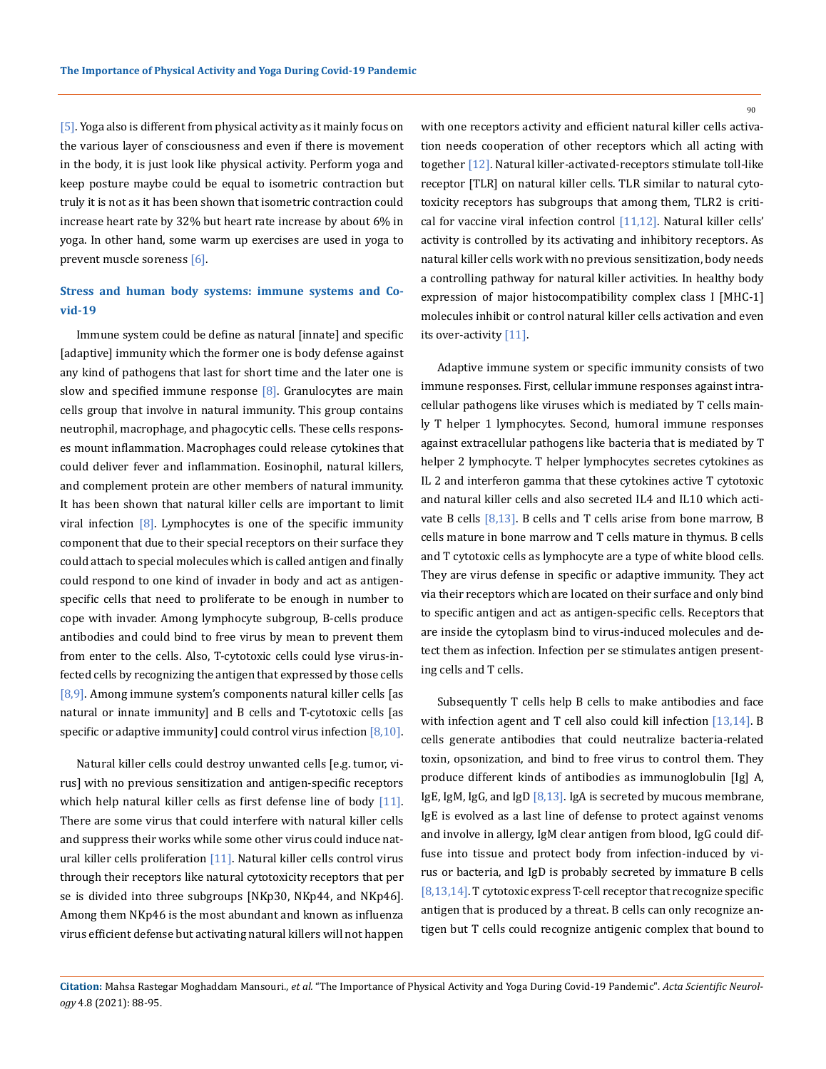[5]. Yoga also is different from physical activity as it mainly focus on the various layer of consciousness and even if there is movement in the body, it is just look like physical activity. Perform yoga and keep posture maybe could be equal to isometric contraction but truly it is not as it has been shown that isometric contraction could increase heart rate by 32% but heart rate increase by about 6% in yoga. In other hand, some warm up exercises are used in yoga to prevent muscle soreness [6].

## **Stress and human body systems: immune systems and Covid-19**

Immune system could be define as natural [innate] and specific [adaptive] immunity which the former one is body defense against any kind of pathogens that last for short time and the later one is slow and specified immune response  $[8]$ . Granulocytes are main cells group that involve in natural immunity. This group contains neutrophil, macrophage, and phagocytic cells. These cells responses mount inflammation. Macrophages could release cytokines that could deliver fever and inflammation. Eosinophil, natural killers, and complement protein are other members of natural immunity. It has been shown that natural killer cells are important to limit viral infection  $[8]$ . Lymphocytes is one of the specific immunity component that due to their special receptors on their surface they could attach to special molecules which is called antigen and finally could respond to one kind of invader in body and act as antigenspecific cells that need to proliferate to be enough in number to cope with invader. Among lymphocyte subgroup, B-cells produce antibodies and could bind to free virus by mean to prevent them from enter to the cells. Also, T-cytotoxic cells could lyse virus-infected cells by recognizing the antigen that expressed by those cells [8,9]. Among immune system's components natural killer cells [as natural or innate immunity] and B cells and T-cytotoxic cells [as specific or adaptive immunity] could control virus infection  $[8,10]$ .

Natural killer cells could destroy unwanted cells [e.g. tumor, virus] with no previous sensitization and antigen-specific receptors which help natural killer cells as first defense line of body [11]. There are some virus that could interfere with natural killer cells and suppress their works while some other virus could induce natural killer cells proliferation  $[11]$ . Natural killer cells control virus through their receptors like natural cytotoxicity receptors that per se is divided into three subgroups [NKp30, NKp44, and NKp46]. Among them NKp46 is the most abundant and known as influenza virus efficient defense but activating natural killers will not happen with one receptors activity and efficient natural killer cells activation needs cooperation of other receptors which all acting with together [12]. Natural killer-activated-receptors stimulate toll-like receptor [TLR] on natural killer cells. TLR similar to natural cytotoxicity receptors has subgroups that among them, TLR2 is critical for vaccine viral infection control [11,12]. Natural killer cells' activity is controlled by its activating and inhibitory receptors. As natural killer cells work with no previous sensitization, body needs a controlling pathway for natural killer activities. In healthy body expression of major histocompatibility complex class I [MHC-1] molecules inhibit or control natural killer cells activation and even its over-activity [11].

Adaptive immune system or specific immunity consists of two immune responses. First, cellular immune responses against intracellular pathogens like viruses which is mediated by T cells mainly T helper 1 lymphocytes. Second, humoral immune responses against extracellular pathogens like bacteria that is mediated by T helper 2 lymphocyte. T helper lymphocytes secretes cytokines as IL 2 and interferon gamma that these cytokines active T cytotoxic and natural killer cells and also secreted IL4 and IL10 which activate B cells  $[8,13]$ . B cells and T cells arise from bone marrow, B cells mature in bone marrow and T cells mature in thymus. B cells and T cytotoxic cells as lymphocyte are a type of white blood cells. They are virus defense in specific or adaptive immunity. They act via their receptors which are located on their surface and only bind to specific antigen and act as antigen-specific cells. Receptors that are inside the cytoplasm bind to virus-induced molecules and detect them as infection. Infection per se stimulates antigen presenting cells and T cells.

Subsequently T cells help B cells to make antibodies and face with infection agent and T cell also could kill infection [13,14]. B cells generate antibodies that could neutralize bacteria-related toxin, opsonization, and bind to free virus to control them. They produce different kinds of antibodies as immunoglobulin [Ig] A, IgE, IgM, IgG, and IgD  $[8,13]$ . IgA is secreted by mucous membrane, IgE is evolved as a last line of defense to protect against venoms and involve in allergy, IgM clear antigen from blood, IgG could diffuse into tissue and protect body from infection-induced by virus or bacteria, and IgD is probably secreted by immature B cells [8,13,14]. T cytotoxic express T-cell receptor that recognize specific antigen that is produced by a threat. B cells can only recognize antigen but T cells could recognize antigenic complex that bound to

**Citation:** Mahsa Rastegar Moghaddam Mansouri*., et al.* "The Importance of Physical Activity and Yoga During Covid-19 Pandemic". *Acta Scientific Neurology* 4.8 (2021): 88-95.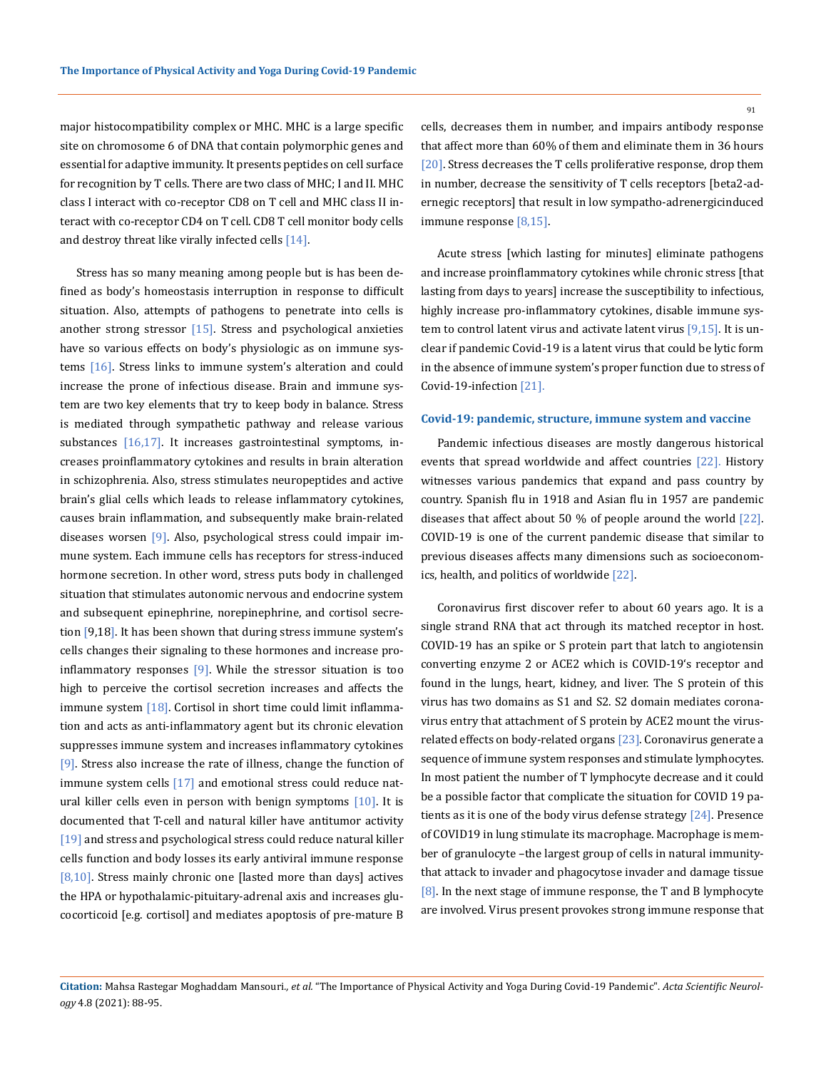major histocompatibility complex or MHC. MHC is a large specific site on chromosome 6 of DNA that contain polymorphic genes and essential for adaptive immunity. It presents peptides on cell surface for recognition by T cells. There are two class of MHC; I and II. MHC class I interact with co-receptor CD8 on T cell and MHC class II interact with co-receptor CD4 on T cell. CD8 T cell monitor body cells and destroy threat like virally infected cells [14].

Stress has so many meaning among people but is has been defined as body's homeostasis interruption in response to difficult situation. Also, attempts of pathogens to penetrate into cells is another strong stressor  $[15]$ . Stress and psychological anxieties have so various effects on body's physiologic as on immune systems [16]. Stress links to immune system's alteration and could increase the prone of infectious disease. Brain and immune system are two key elements that try to keep body in balance. Stress is mediated through sympathetic pathway and release various substances  $[16,17]$ . It increases gastrointestinal symptoms, increases proinflammatory cytokines and results in brain alteration in schizophrenia. Also, stress stimulates neuropeptides and active brain's glial cells which leads to release inflammatory cytokines, causes brain inflammation, and subsequently make brain-related diseases worsen [9]. Also, psychological stress could impair immune system. Each immune cells has receptors for stress-induced hormone secretion. In other word, stress puts body in challenged situation that stimulates autonomic nervous and endocrine system and subsequent epinephrine, norepinephrine, and cortisol secretion [9,18]. It has been shown that during stress immune system's cells changes their signaling to these hormones and increase proinflammatory responses  $[9]$ . While the stressor situation is too high to perceive the cortisol secretion increases and affects the immune system [18]. Cortisol in short time could limit inflammation and acts as anti-inflammatory agent but its chronic elevation suppresses immune system and increases inflammatory cytokines [9]. Stress also increase the rate of illness, change the function of immune system cells [17] and emotional stress could reduce natural killer cells even in person with benign symptoms  $[10]$ . It is documented that T-cell and natural killer have antitumor activity [19] and stress and psychological stress could reduce natural killer cells function and body losses its early antiviral immune response [8,10]. Stress mainly chronic one [lasted more than days] actives the HPA or hypothalamic-pituitary-adrenal axis and increases glucocorticoid [e.g. cortisol] and mediates apoptosis of pre-mature B

cells, decreases them in number, and impairs antibody response that affect more than 60% of them and eliminate them in 36 hours [20]. Stress decreases the T cells proliferative response, drop them in number, decrease the sensitivity of T cells receptors [beta2-adernegic receptors] that result in low sympatho-adrenergicinduced immune response [8,15].

Acute stress [which lasting for minutes] eliminate pathogens and increase proinflammatory cytokines while chronic stress [that lasting from days to years] increase the susceptibility to infectious, highly increase pro-inflammatory cytokines, disable immune system to control latent virus and activate latent virus [9,15]. It is unclear if pandemic Covid-19 is a latent virus that could be lytic form in the absence of immune system's proper function due to stress of Covid-19-infection [21].

#### **Covid-19: pandemic, structure, immune system and vaccine**

Pandemic infectious diseases are mostly dangerous historical events that spread worldwide and affect countries [22]. History witnesses various pandemics that expand and pass country by country. Spanish flu in 1918 and Asian flu in 1957 are pandemic diseases that affect about 50 % of people around the world [22]. COVID-19 is one of the current pandemic disease that similar to previous diseases affects many dimensions such as socioeconomics, health, and politics of worldwide [22].

Coronavirus first discover refer to about 60 years ago. It is a single strand RNA that act through its matched receptor in host. COVID-19 has an spike or S protein part that latch to angiotensin converting enzyme 2 or ACE2 which is COVID-19's receptor and found in the lungs, heart, kidney, and liver. The S protein of this virus has two domains as S1 and S2. S2 domain mediates coronavirus entry that attachment of S protein by ACE2 mount the virusrelated effects on body-related organs [23]. Coronavirus generate a sequence of immune system responses and stimulate lymphocytes. In most patient the number of T lymphocyte decrease and it could be a possible factor that complicate the situation for COVID 19 patients as it is one of the body virus defense strategy [24]. Presence of COVID19 in lung stimulate its macrophage. Macrophage is member of granulocyte –the largest group of cells in natural immunitythat attack to invader and phagocytose invader and damage tissue [8]. In the next stage of immune response, the T and B lymphocyte are involved. Virus present provokes strong immune response that

**Citation:** Mahsa Rastegar Moghaddam Mansouri*., et al.* "The Importance of Physical Activity and Yoga During Covid-19 Pandemic". *Acta Scientific Neurology* 4.8 (2021): 88-95.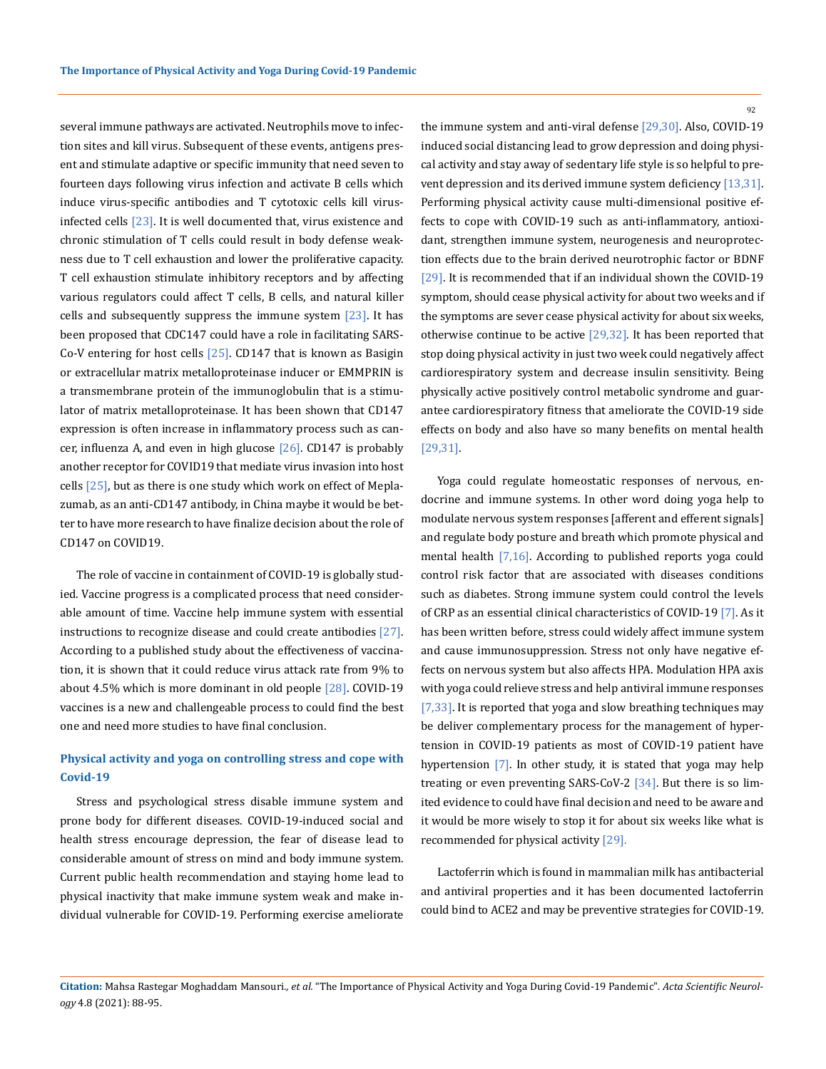several immune pathways are activated. Neutrophils move to infection sites and kill virus. Subsequent of these events, antigens present and stimulate adaptive or specific immunity that need seven to fourteen days following virus infection and activate B cells which induce virus-specific antibodies and T cytotoxic cells kill virusinfected cells  $[23]$ . It is well documented that, virus existence and chronic stimulation of T cells could result in body defense weakness due to T cell exhaustion and lower the proliferative capacity. T cell exhaustion stimulate inhibitory receptors and by affecting various regulators could affect T cells, B cells, and natural killer cells and subsequently suppress the immune system  $[23]$ . It has been proposed that CDC147 could have a role in facilitating SARS-Co-V entering for host cells  $[25]$ . CD147 that is known as Basigin or extracellular matrix metalloproteinase inducer or EMMPRIN is a transmembrane protein of the immunoglobulin that is a stimulator of matrix metalloproteinase. It has been shown that CD147 expression is often increase in inflammatory process such as cancer, influenza A, and even in high glucose  $[26]$ . CD147 is probably another receptor for COVID19 that mediate virus invasion into host cells  $[25]$ , but as there is one study which work on effect of Meplazumab, as an anti-CD147 antibody, in China maybe it would be better to have more research to have finalize decision about the role of CD147 on COVID19.

The role of vaccine in containment of COVID-19 is globally studied. Vaccine progress is a complicated process that need considerable amount of time. Vaccine help immune system with essential instructions to recognize disease and could create antibodies [27]. According to a published study about the effectiveness of vaccination, it is shown that it could reduce virus attack rate from 9% to about  $4.5\%$  which is more dominant in old people  $[28]$ . COVID-19 vaccines is a new and challengeable process to could find the best one and need more studies to have final conclusion.

## **Physical activity and yoga on controlling stress and cope with Covid-19**

Stress and psychological stress disable immune system and prone body for different diseases. COVID-19-induced social and health stress encourage depression, the fear of disease lead to considerable amount of stress on mind and body immune system. Current public health recommendation and staying home lead to physical inactivity that make immune system weak and make individual vulnerable for COVID-19. Performing exercise ameliorate 92

the immune system and anti-viral defense [29,30]. Also, COVID-19 induced social distancing lead to grow depression and doing physical activity and stay away of sedentary life style is so helpful to prevent depression and its derived immune system deficiency [13,31]. Performing physical activity cause multi-dimensional positive effects to cope with COVID-19 such as anti-inflammatory, antioxidant, strengthen immune system, neurogenesis and neuroprotection effects due to the brain derived neurotrophic factor or BDNF [29]. It is recommended that if an individual shown the COVID-19 symptom, should cease physical activity for about two weeks and if the symptoms are sever cease physical activity for about six weeks, otherwise continue to be active [29,32]. It has been reported that stop doing physical activity in just two week could negatively affect cardiorespiratory system and decrease insulin sensitivity. Being physically active positively control metabolic syndrome and guarantee cardiorespiratory fitness that ameliorate the COVID-19 side effects on body and also have so many benefits on mental health [29,31].

Yoga could regulate homeostatic responses of nervous, endocrine and immune systems. In other word doing yoga help to modulate nervous system responses [afferent and efferent signals] and regulate body posture and breath which promote physical and mental health [7,16]. According to published reports yoga could control risk factor that are associated with diseases conditions such as diabetes. Strong immune system could control the levels of CRP as an essential clinical characteristics of COVID-19 [7]. As it has been written before, stress could widely affect immune system and cause immunosuppression. Stress not only have negative effects on nervous system but also affects HPA. Modulation HPA axis with yoga could relieve stress and help antiviral immune responses [7,33]. It is reported that yoga and slow breathing techniques may be deliver complementary process for the management of hypertension in COVID-19 patients as most of COVID-19 patient have hypertension [7]. In other study, it is stated that yoga may help treating or even preventing SARS-CoV-2 [34]. But there is so limited evidence to could have final decision and need to be aware and it would be more wisely to stop it for about six weeks like what is recommended for physical activity [29].

Lactoferrin which is found in mammalian milk has antibacterial and antiviral properties and it has been documented lactoferrin could bind to ACE2 and may be preventive strategies for COVID-19.

**Citation:** Mahsa Rastegar Moghaddam Mansouri*., et al.* "The Importance of Physical Activity and Yoga During Covid-19 Pandemic". *Acta Scientific Neurology* 4.8 (2021): 88-95.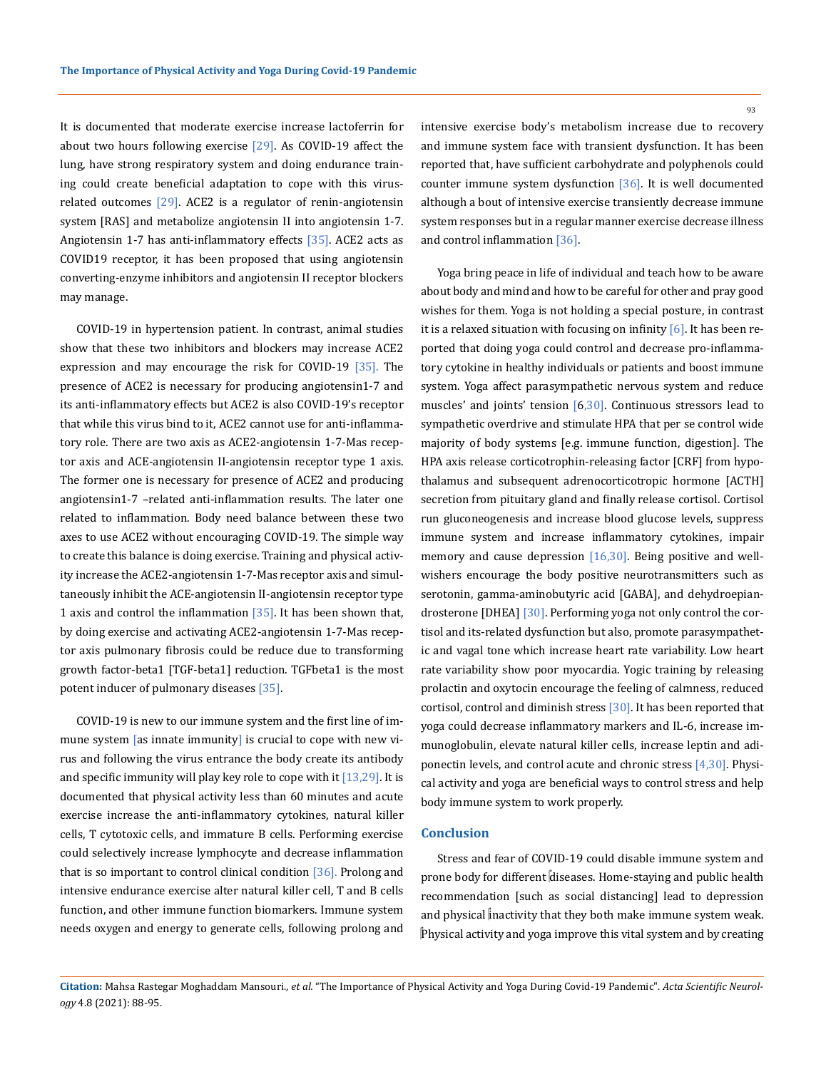It is documented that moderate exercise increase lactoferrin for about two hours following exercise  $[29]$ . As COVID-19 affect the lung, have strong respiratory system and doing endurance training could create beneficial adaptation to cope with this virusrelated outcomes [29]. ACE2 is a regulator of renin-angiotensin system [RAS] and metabolize angiotensin II into angiotensin 1-7. Angiotensin 1-7 has anti-inflammatory effects [35]. ACE2 acts as COVID19 receptor, it has been proposed that using angiotensin converting-enzyme inhibitors and angiotensin II receptor blockers may manage.

COVID-19 in hypertension patient. In contrast, animal studies show that these two inhibitors and blockers may increase ACE2 expression and may encourage the risk for COVID-19 [35]. The presence of ACE2 is necessary for producing angiotensin1-7 and its anti-inflammatory effects but ACE2 is also COVID-19's receptor that while this virus bind to it, ACE2 cannot use for anti-inflammatory role. There are two axis as ACE2-angiotensin 1-7-Mas receptor axis and ACE-angiotensin II-angiotensin receptor type 1 axis. The former one is necessary for presence of ACE2 and producing angiotensin1-7 –related anti-inflammation results. The later one related to inflammation. Body need balance between these two axes to use ACE2 without encouraging COVID-19. The simple way to create this balance is doing exercise. Training and physical activity increase the ACE2-angiotensin 1-7-Mas receptor axis and simultaneously inhibit the ACE-angiotensin II-angiotensin receptor type 1 axis and control the inflammation  $[35]$ . It has been shown that, by doing exercise and activating ACE2-angiotensin 1-7-Mas receptor axis pulmonary fibrosis could be reduce due to transforming growth factor-beta1 [TGF-beta1] reduction. TGFbeta1 is the most potent inducer of pulmonary diseases [35].

COVID-19 is new to our immune system and the first line of immune system [as innate immunity] is crucial to cope with new virus and following the virus entrance the body create its antibody and specific immunity will play key role to cope with it  $[13,29]$ . It is documented that physical activity less than 60 minutes and acute exercise increase the anti-inflammatory cytokines, natural killer cells, T cytotoxic cells, and immature B cells. Performing exercise could selectively increase lymphocyte and decrease inflammation that is so important to control clinical condition  $\lceil 36 \rceil$ . Prolong and intensive endurance exercise alter natural killer cell, T and B cells function, and other immune function biomarkers. Immune system needs oxygen and energy to generate cells, following prolong and

intensive exercise body's metabolism increase due to recovery and immune system face with transient dysfunction. It has been reported that, have sufficient carbohydrate and polyphenols could counter immune system dysfunction [36]. It is well documented although a bout of intensive exercise transiently decrease immune system responses but in a regular manner exercise decrease illness and control inflammation [36].

Yoga bring peace in life of individual and teach how to be aware about body and mind and how to be careful for other and pray good wishes for them. Yoga is not holding a special posture, in contrast it is a relaxed situation with focusing on infinity  $[6]$ . It has been reported that doing yoga could control and decrease pro-inflammatory cytokine in healthy individuals or patients and boost immune system. Yoga affect parasympathetic nervous system and reduce muscles' and joints' tension [6,30]. Continuous stressors lead to sympathetic overdrive and stimulate HPA that per se control wide majority of body systems [e.g. immune function, digestion]. The HPA axis release corticotrophin-releasing factor [CRF] from hypothalamus and subsequent adrenocorticotropic hormone [ACTH] secretion from pituitary gland and finally release cortisol. Cortisol run gluconeogenesis and increase blood glucose levels, suppress immune system and increase inflammatory cytokines, impair memory and cause depression [16,30]. Being positive and wellwishers encourage the body positive neurotransmitters such as serotonin, gamma-aminobutyric acid [GABA], and dehydroepiandrosterone [DHEA] [30]. Performing yoga not only control the cortisol and its-related dysfunction but also, promote parasympathetic and vagal tone which increase heart rate variability. Low heart rate variability show poor myocardia. Yogic training by releasing prolactin and oxytocin encourage the feeling of calmness, reduced cortisol, control and diminish stress [30]. It has been reported that yoga could decrease inflammatory markers and IL-6, increase immunoglobulin, elevate natural killer cells, increase leptin and adiponectin levels, and control acute and chronic stress [4,30]. Physical activity and yoga are beneficial ways to control stress and help body immune system to work properly.

### **Conclusion**

Stress and fear of COVID-19 could disable immune system and prone body for different diseases. Home-staying and public health recommendation [such as social distancing] lead to depression and physical inactivity that they both make immune system weak. Physical activity and yoga improve this vital system and by creating

**Citation:** Mahsa Rastegar Moghaddam Mansouri*., et al.* "The Importance of Physical Activity and Yoga During Covid-19 Pandemic". *Acta Scientific Neurology* 4.8 (2021): 88-95.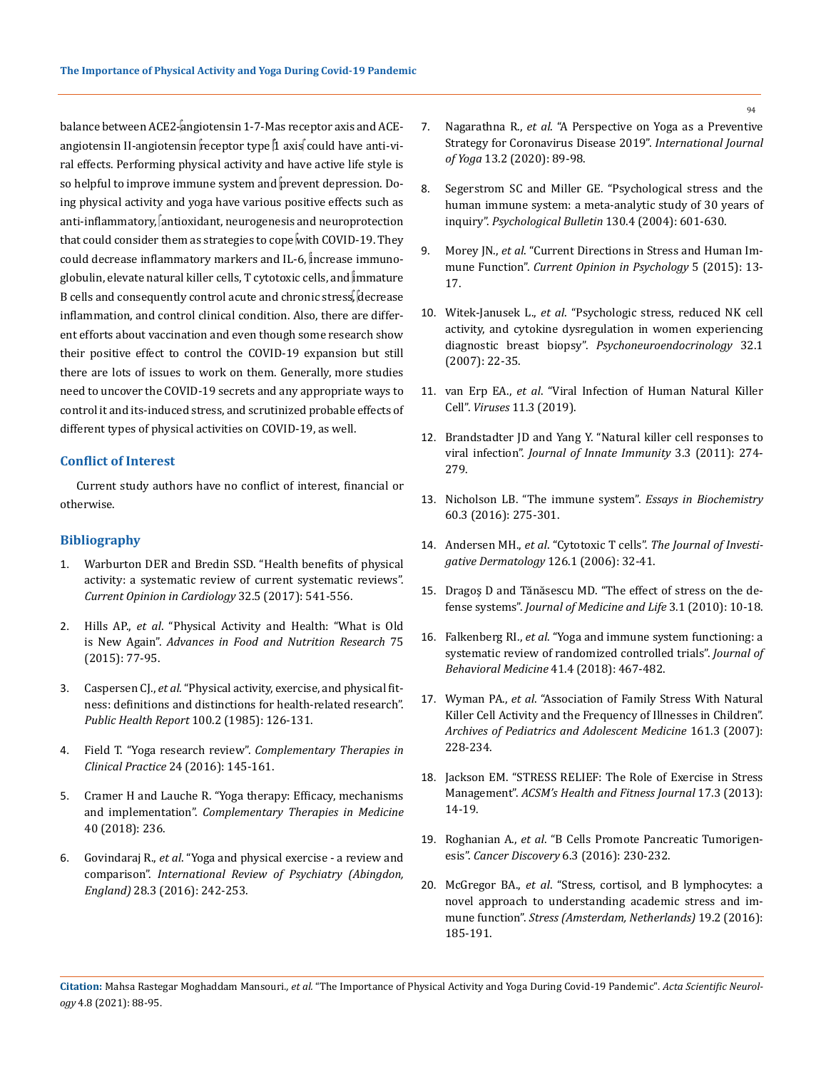balance between ACE2-angiotensin 1-7-Mas receptor axis and ACEangiotensin II-angiotensin receptor type  $\alpha$  axis could have anti-viral effects. Performing physical activity and have active life style is so helpful to improve immune system and prevent depression. Doing physical activity and yoga have various positive effects such as anti-inflammatory,  $\int$ antioxidant, neurogenesis and neuroprotection that could consider them as strategies to cope with COVID-19. They could decrease inflammatory markers and IL-6, increase immunoglobulin, elevate natural killer cells, T cytotoxic cells, and  $\lim_{h\rightarrow 0}$ B cells and consequently control acute and chronic stress, decrease inflammation, and control clinical condition. Also, there are different efforts about vaccination and even though some research show their positive effect to control the COVID-19 expansion but still there are lots of issues to work on them. Generally, more studies need to uncover the COVID-19 secrets and any appropriate ways to control it and its-induced stress, and scrutinized probable effects of different types of physical activities on COVID-19, as well.

### **Conflict of Interest**

Current study authors have no conflict of interest, financial or otherwise.

## **Bibliography**

- 1. [Warburton DER and Bredin SSD. "Health benefits of physical](https://pubmed.ncbi.nlm.nih.gov/28708630/)  [activity: a systematic review of current systematic reviews".](https://pubmed.ncbi.nlm.nih.gov/28708630/)  *[Current Opinion in Cardiology](https://pubmed.ncbi.nlm.nih.gov/28708630/)* 32.5 (2017): 541-556.
- 2. Hills AP., *et al*[. "Physical Activity and Health: "What is Old](https://pubmed.ncbi.nlm.nih.gov/26319905/)  is New Again". *[Advances in Food and Nutrition Research](https://pubmed.ncbi.nlm.nih.gov/26319905/)* 75 [\(2015\): 77-95.](https://pubmed.ncbi.nlm.nih.gov/26319905/)
- 3. Caspersen CJ., *et al*[. "Physical activity, exercise, and physical fit](https://www.ncbi.nlm.nih.gov/pmc/articles/PMC1424733/)[ness: definitions and distinctions for health-related research".](https://www.ncbi.nlm.nih.gov/pmc/articles/PMC1424733/)  *[Public Health Report](https://www.ncbi.nlm.nih.gov/pmc/articles/PMC1424733/)* 100.2 (1985): 126-131.
- 4. Field T. "Yoga research review". *[Complementary Therapies in](https://pubmed.ncbi.nlm.nih.gov/27502816/)  Clinical Practice* [24 \(2016\): 145-161.](https://pubmed.ncbi.nlm.nih.gov/27502816/)
- 5. [Cramer H and Lauche R. "Yoga therapy: Efficacy, mechanisms](https://pubmed.ncbi.nlm.nih.gov/30219457/)  and implementation". *[Complementary Therapies in Medicine](https://pubmed.ncbi.nlm.nih.gov/30219457/)* [40 \(2018\): 236.](https://pubmed.ncbi.nlm.nih.gov/30219457/)
- 6. Govindaraj R., *et al*[. "Yoga and physical exercise a review and](https://pubmed.ncbi.nlm.nih.gov/27044898/)  comparison". *[International Review of Psychiatry \(Abingdon,](https://pubmed.ncbi.nlm.nih.gov/27044898/)  England)* [28.3 \(2016\): 242-253.](https://pubmed.ncbi.nlm.nih.gov/27044898/)
- 7. Nagarathna R., *et al*[. "A Perspective on Yoga as a Preventive](https://pubmed.ncbi.nlm.nih.gov/32669762/) [Strategy for Coronavirus Disease 2019".](https://pubmed.ncbi.nlm.nih.gov/32669762/) *International Journal of Yoga* [13.2 \(2020\): 89-98.](https://pubmed.ncbi.nlm.nih.gov/32669762/)
- 8. [Segerstrom SC and Miller GE. "Psychological stress and the](https://www.ncbi.nlm.nih.gov/pmc/articles/PMC1361287/) [human immune system: a meta-analytic study of 30 years of](https://www.ncbi.nlm.nih.gov/pmc/articles/PMC1361287/) inquiry". *[Psychological Bulletin](https://www.ncbi.nlm.nih.gov/pmc/articles/PMC1361287/)* 130.4 (2004): 601-630.
- 9. Morey JN., *et al*[. "Current Directions in Stress and Human Im](https://www.ncbi.nlm.nih.gov/pmc/articles/PMC4465119/)mune Function". *[Current Opinion in Psychology](https://www.ncbi.nlm.nih.gov/pmc/articles/PMC4465119/)* 5 (2015): 13- [17.](https://www.ncbi.nlm.nih.gov/pmc/articles/PMC4465119/)
- 10. Witek-Janusek L., *et al*[. "Psychologic stress, reduced NK cell](https://pubmed.ncbi.nlm.nih.gov/17092654/) [activity, and cytokine dysregulation in women experiencing](https://pubmed.ncbi.nlm.nih.gov/17092654/) diagnostic breast biopsy". *[Psychoneuroendocrinology](https://pubmed.ncbi.nlm.nih.gov/17092654/)* 32.1 [\(2007\): 22-35.](https://pubmed.ncbi.nlm.nih.gov/17092654/)
- 11. van Erp EA., *et al*[. "Viral Infection of Human Natural Killer](https://www.ncbi.nlm.nih.gov/pmc/articles/PMC6466310/) Cell". *Viruses* [11.3 \(2019\).](https://www.ncbi.nlm.nih.gov/pmc/articles/PMC6466310/)
- 12. [Brandstadter JD and Yang Y. "Natural killer cell responses to](https://www.ncbi.nlm.nih.gov/pmc/articles/PMC3128146/) viral infection". *[Journal of Innate Immunity](https://www.ncbi.nlm.nih.gov/pmc/articles/PMC3128146/)* 3.3 (2011): 274- [279.](https://www.ncbi.nlm.nih.gov/pmc/articles/PMC3128146/)
- 13. [Nicholson LB. "The immune system".](https://pubmed.ncbi.nlm.nih.gov/27784777/) *Essays in Biochemistry* [60.3 \(2016\): 275-301.](https://pubmed.ncbi.nlm.nih.gov/27784777/)
- 14. Andersen MH., *et al*. "Cytotoxic T cells". *[The Journal of Investi](https://pubmed.ncbi.nlm.nih.gov/16417215/)[gative Dermatology](https://pubmed.ncbi.nlm.nih.gov/16417215/)* 126.1 (2006): 32-41.
- 15. [Dragoş D and Tănăsescu MD. "The effect of stress on the de](https://pubmed.ncbi.nlm.nih.gov/20302192/)fense systems". *[Journal of Medicine and Life](https://pubmed.ncbi.nlm.nih.gov/20302192/)* 3.1 (2010): 10-18.
- 16. Falkenberg RI., *et al*[. "Yoga and immune system functioning: a](https://pubmed.ncbi.nlm.nih.gov/29429046/) [systematic review of randomized controlled trials".](https://pubmed.ncbi.nlm.nih.gov/29429046/) *Journal of [Behavioral Medicine](https://pubmed.ncbi.nlm.nih.gov/29429046/)* 41.4 (2018): 467-482.
- 17. Wyman PA., *et al*[. "Association of Family Stress With Natural](https://pubmed.ncbi.nlm.nih.gov/17339503/) [Killer Cell Activity and the Frequency of Illnesses in Children".](https://pubmed.ncbi.nlm.nih.gov/17339503/) *[Archives of Pediatrics and Adolescent Medicine](https://pubmed.ncbi.nlm.nih.gov/17339503/)* 161.3 (2007): [228-234.](https://pubmed.ncbi.nlm.nih.gov/17339503/)
- 18. [Jackson EM. "STRESS RELIEF: The Role of Exercise in Stress](https://journals.lww.com/acsm-healthfitness/fulltext/2013/05000/stress_relief__the_role_of_exercise_in_stress.6.aspx) Management". *[ACSM's Health and Fitness](https://journals.lww.com/acsm-healthfitness/fulltext/2013/05000/stress_relief__the_role_of_exercise_in_stress.6.aspx) Journal* 17.3 (2013): [14-19.](https://journals.lww.com/acsm-healthfitness/fulltext/2013/05000/stress_relief__the_role_of_exercise_in_stress.6.aspx)
- 19. Roghanian A., *et al*[. "B Cells Promote Pancreatic Tumorigen](https://cancerdiscovery.aacrjournals.org/content/6/3/230)esis". *[Cancer Discovery](https://cancerdiscovery.aacrjournals.org/content/6/3/230)* 6.3 (2016): 230-232.
- 20. McGregor BA., *et al*[. "Stress, cortisol, and B lymphocytes: a](https://www.ncbi.nlm.nih.gov/pmc/articles/PMC4837014/) [novel approach to understanding academic stress and im](https://www.ncbi.nlm.nih.gov/pmc/articles/PMC4837014/)mune function". *[Stress \(Amsterdam, Netherlands\)](https://www.ncbi.nlm.nih.gov/pmc/articles/PMC4837014/)* 19.2 (2016): [185-191.](https://www.ncbi.nlm.nih.gov/pmc/articles/PMC4837014/)

**Citation:** Mahsa Rastegar Moghaddam Mansouri*., et al.* "The Importance of Physical Activity and Yoga During Covid-19 Pandemic". *Acta Scientific Neurology* 4.8 (2021): 88-95.